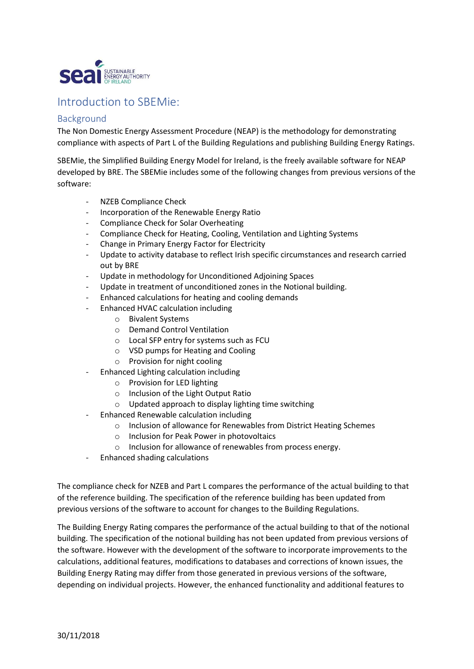

## Introduction to SBEMie:

## Background

The Non Domestic Energy Assessment Procedure (NEAP) is the methodology for demonstrating compliance with aspects of Part L of the Building Regulations and publishing Building Energy Ratings.

SBEMie, the Simplified Building Energy Model for Ireland, is the freely available software for NEAP developed by BRE. The SBEMie includes some of the following changes from previous versions of the software:

- NZEB Compliance Check
- Incorporation of the Renewable Energy Ratio
- Compliance Check for Solar Overheating
- Compliance Check for Heating, Cooling, Ventilation and Lighting Systems
- Change in Primary Energy Factor for Electricity
- Update to activity database to reflect Irish specific circumstances and research carried out by BRE
- Update in methodology for Unconditioned Adjoining Spaces
- Update in treatment of unconditioned zones in the Notional building.
- Enhanced calculations for heating and cooling demands
- Enhanced HVAC calculation including
	- o Bivalent Systems
	- o Demand Control Ventilation
	- o Local SFP entry for systems such as FCU
	- o VSD pumps for Heating and Cooling
	- o Provision for night cooling
- Enhanced Lighting calculation including
	- o Provision for LED lighting
	- o Inclusion of the Light Output Ratio
	- o Updated approach to display lighting time switching
- Enhanced Renewable calculation including
	- o Inclusion of allowance for Renewables from District Heating Schemes
	- o Inclusion for Peak Power in photovoltaics
	- o Inclusion for allowance of renewables from process energy.
- Enhanced shading calculations

The compliance check for NZEB and Part L compares the performance of the actual building to that of the reference building. The specification of the reference building has been updated from previous versions of the software to account for changes to the Building Regulations.

The Building Energy Rating compares the performance of the actual building to that of the notional building. The specification of the notional building has not been updated from previous versions of the software. However with the development of the software to incorporate improvements to the calculations, additional features, modifications to databases and corrections of known issues, the Building Energy Rating may differ from those generated in previous versions of the software, depending on individual projects. However, the enhanced functionality and additional features to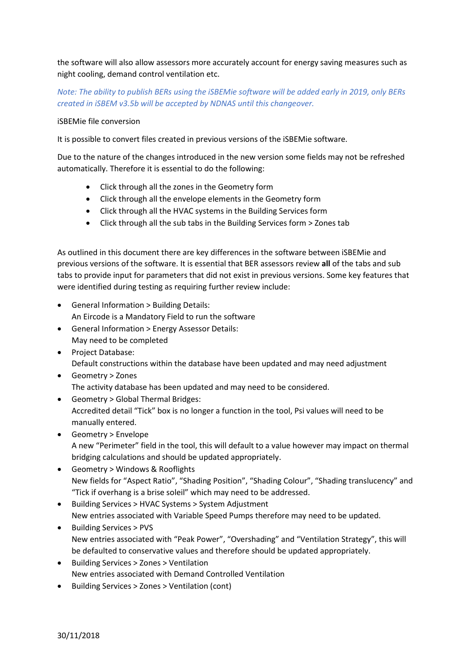the software will also allow assessors more accurately account for energy saving measures such as night cooling, demand control ventilation etc.

## Note: The ability to publish BERs using the iSBEMie software will be added early in 2019, only BERs created in iSBEM v3.5b will be accepted by NDNAS until this changeover.

## iSBEMie file conversion

It is possible to convert files created in previous versions of the iSBEMie software.

Due to the nature of the changes introduced in the new version some fields may not be refreshed automatically. Therefore it is essential to do the following:

- Click through all the zones in the Geometry form
- Click through all the envelope elements in the Geometry form
- Click through all the HVAC systems in the Building Services form
- Click through all the sub tabs in the Building Services form > Zones tab

As outlined in this document there are key differences in the software between iSBEMie and previous versions of the software. It is essential that BER assessors review all of the tabs and sub tabs to provide input for parameters that did not exist in previous versions. Some key features that were identified during testing as requiring further review include:

- General Information > Building Details: An Eircode is a Mandatory Field to run the software
- General Information > Energy Assessor Details: May need to be completed
- Project Database: Default constructions within the database have been updated and may need adjustment
- Geometry > Zones The activity database has been updated and may need to be considered.
- Geometry > Global Thermal Bridges: Accredited detail "Tick" box is no longer a function in the tool, Psi values will need to be manually entered.
- Geometry > Envelope A new "Perimeter" field in the tool, this will default to a value however may impact on thermal bridging calculations and should be updated appropriately.
- Geometry > Windows & Rooflights New fields for "Aspect Ratio", "Shading Position", "Shading Colour", "Shading translucency" and "Tick if overhang is a brise soleil" which may need to be addressed.
- Building Services > HVAC Systems > System Adjustment New entries associated with Variable Speed Pumps therefore may need to be updated.
- Building Services > PVS New entries associated with "Peak Power", "Overshading" and "Ventilation Strategy", this will be defaulted to conservative values and therefore should be updated appropriately.
- Building Services > Zones > Ventilation New entries associated with Demand Controlled Ventilation
- Building Services > Zones > Ventilation (cont)